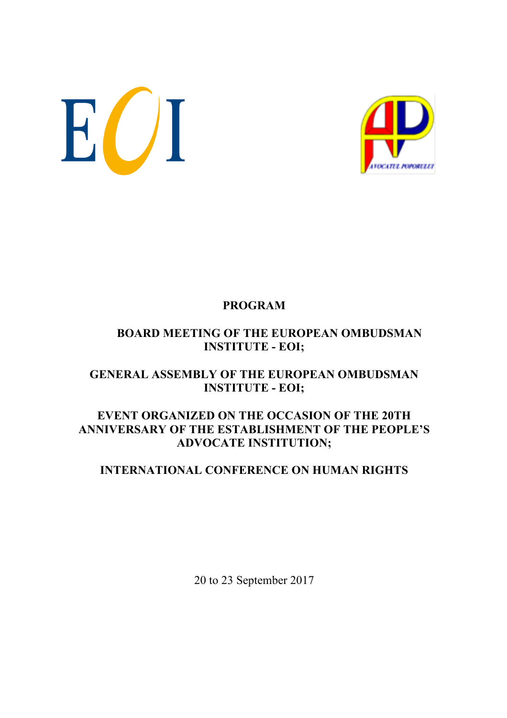EUI



### **PROGRAM**

### **BOARD MEETING OF THE EUROPEAN OMBUDSMAN INSTITUTE - EOI;**

#### **GENERAL ASSEMBLY OF THE EUROPEAN OMBUDSMAN INSTITUTE - EOI;**

#### **EVENT ORGANIZED ON THE OCCASION OF THE 20TH ANNIVERSARY OF THE ESTABLISHMENT OF THE PEOPLE'S ADVOCATE INSTITUTION;**

#### **INTERNATIONAL CONFERENCE ON HUMAN RIGHTS**

20 to 23 September 2017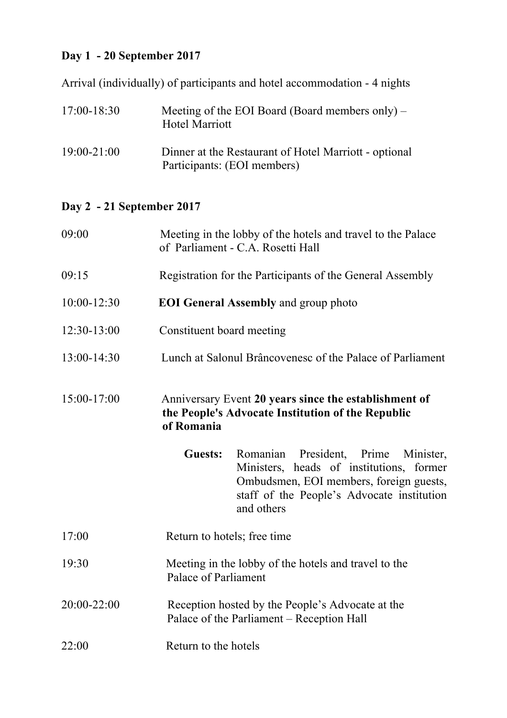# **Day 1 - 20 September 2017**

Arrival (individually) of participants and hotel accommodation - 4 nights

| $17:00 - 18:30$ | Meeting of the EOI Board (Board members only) $-$<br><b>Hotel Marriott</b>           |
|-----------------|--------------------------------------------------------------------------------------|
| $19:00 - 21:00$ | Dinner at the Restaurant of Hotel Marriott - optional<br>Participants: (EOI members) |

# **Day 2 - 21 September 2017**

| 09:00         | Meeting in the lobby of the hotels and travel to the Palace<br>of Parliament - C.A. Rosetti Hall                                                                                                               |
|---------------|----------------------------------------------------------------------------------------------------------------------------------------------------------------------------------------------------------------|
| 09:15         | Registration for the Participants of the General Assembly                                                                                                                                                      |
| 10:00-12:30   | <b>EOI General Assembly and group photo</b>                                                                                                                                                                    |
| $12:30-13:00$ | Constituent board meeting                                                                                                                                                                                      |
| 13:00-14:30   | Lunch at Salonul Brâncovenesc of the Palace of Parliament                                                                                                                                                      |
| 15:00-17:00   | Anniversary Event 20 years since the establishment of<br>the People's Advocate Institution of the Republic<br>of Romania                                                                                       |
|               | President, Prime<br><b>Guests:</b><br>Romanian<br>Minister,<br>Ministers, heads of institutions, former<br>Ombudsmen, EOI members, foreign guests,<br>staff of the People's Advocate institution<br>and others |
| 17:00         | Return to hotels; free time                                                                                                                                                                                    |
| 19:30         | Meeting in the lobby of the hotels and travel to the<br>Palace of Parliament                                                                                                                                   |
| 20:00-22:00   | Reception hosted by the People's Advocate at the<br>Palace of the Parliament – Reception Hall                                                                                                                  |
| 22:00         | Return to the hotels                                                                                                                                                                                           |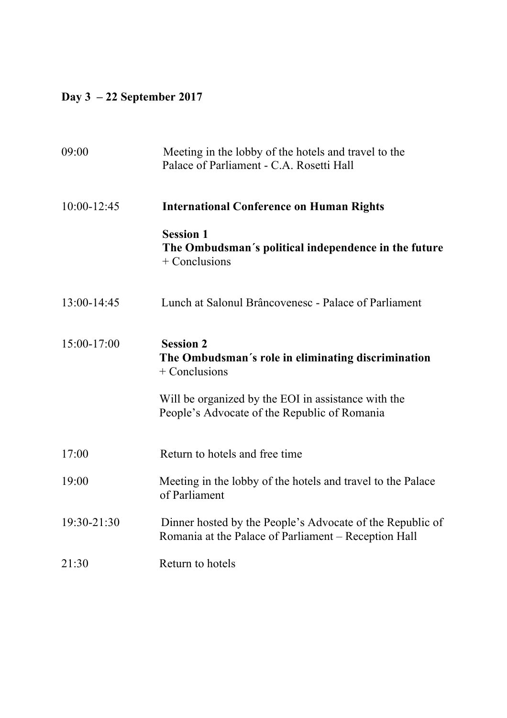# **Day 3 – 22 September 2017**

| 09:00           | Meeting in the lobby of the hotels and travel to the<br>Palace of Parliament - C.A. Rosetti Hall                  |
|-----------------|-------------------------------------------------------------------------------------------------------------------|
| $10:00 - 12:45$ | <b>International Conference on Human Rights</b>                                                                   |
|                 | <b>Session 1</b><br>The Ombudsman's political independence in the future<br>$+$ Conclusions                       |
| 13:00-14:45     | Lunch at Salonul Brâncovenesc - Palace of Parliament                                                              |
| 15:00-17:00     | <b>Session 2</b><br>The Ombudsman's role in eliminating discrimination<br>$+$ Conclusions                         |
|                 | Will be organized by the EOI in assistance with the<br>People's Advocate of the Republic of Romania               |
| 17:00           | Return to hotels and free time                                                                                    |
| 19:00           | Meeting in the lobby of the hotels and travel to the Palace<br>of Parliament                                      |
| 19:30-21:30     | Dinner hosted by the People's Advocate of the Republic of<br>Romania at the Palace of Parliament - Reception Hall |
| 21:30           | Return to hotels                                                                                                  |